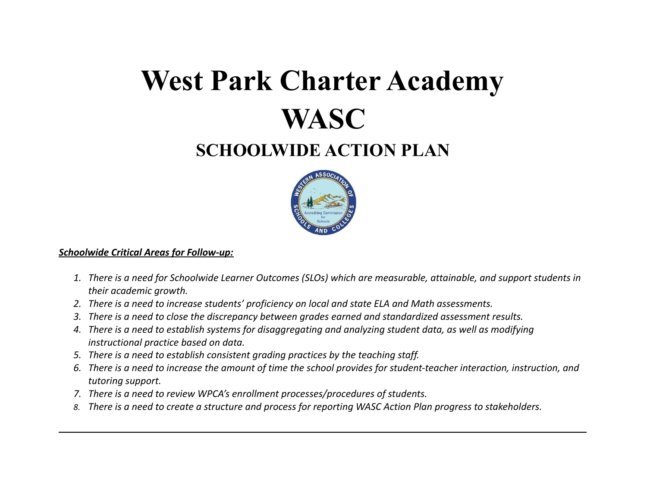# **West Park Charter Academy WASC**

## **SCHOOLWIDE ACTION PLAN**



#### *Schoolwide Critical Areas for Follow-up:*

- 1. There is a need for Schoolwide Learner Outcomes (SLOs) which are measurable, attainable, and support students in *their academic growth.*
- *2. There is a need to increase students' proficiency on local and state ELA and Math assessments.*
- *3. There is a need to close the discrepancy between grades earned and standardized assessment results.*
- 4. There is a need to establish systems for disaggregating and analyzing student data, as well as modifying *instructional practice based on data.*
- *5. There is a need to establish consistent grading practices by the teaching staff.*
- 6. There is a need to increase the amount of time the school provides for student-teacher interaction, instruction, and *tutoring support.*

**\_\_\_\_\_\_\_\_\_\_\_\_\_\_\_\_\_\_\_\_\_\_\_\_\_\_\_\_\_\_\_\_\_\_\_\_\_\_\_\_\_\_\_\_\_\_\_\_\_\_\_\_\_\_\_\_\_\_\_\_\_\_\_\_\_\_\_\_\_\_\_\_\_\_\_\_\_\_\_\_\_\_\_\_\_\_\_\_\_\_\_\_\_\_\_\_\_\_\_\_\_\_\_\_\_\_\_\_\_\_\_\_\_\_\_\_\_\_**

- *7. There is a need to review WPCA's enrollment processes/procedures of students.*
- 8. There is a need to create a structure and process for reporting WASC Action Plan progress to stakeholders.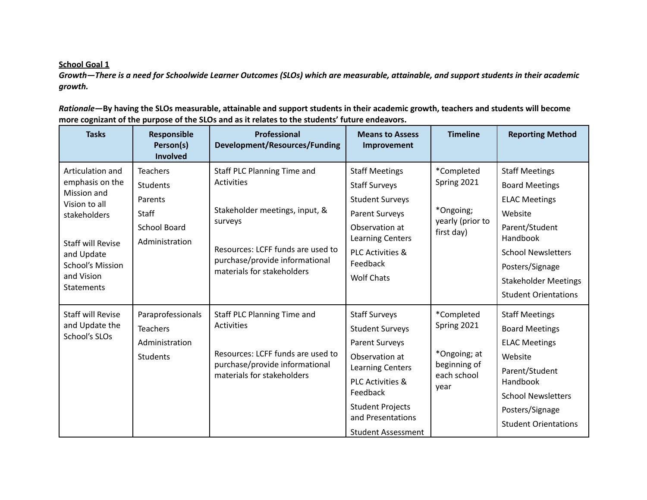Growth-There is a need for Schoolwide Learner Outcomes (SLOs) which are measurable, attainable, and support students in their academic *growth.*

Rationale-By having the SLOs measurable, attainable and support students in their academic growth, teachers and students will become **more cognizant of the purpose of the SLOs and as it relates to the students' future endeavors.**

| <b>Tasks</b>                                                                                                                                                                         | Responsible<br>Person(s)<br>Involved                                                                   | Professional<br><b>Development/Resources/Funding</b>                                                                                                                                        | <b>Means to Assess</b><br>Improvement                                                                                                                                                                                                        | <b>Timeline</b>                                                                  | <b>Reporting Method</b>                                                                                                                                                                                                       |
|--------------------------------------------------------------------------------------------------------------------------------------------------------------------------------------|--------------------------------------------------------------------------------------------------------|---------------------------------------------------------------------------------------------------------------------------------------------------------------------------------------------|----------------------------------------------------------------------------------------------------------------------------------------------------------------------------------------------------------------------------------------------|----------------------------------------------------------------------------------|-------------------------------------------------------------------------------------------------------------------------------------------------------------------------------------------------------------------------------|
| Articulation and<br>emphasis on the<br>Mission and<br>Vision to all<br>stakeholders<br><b>Staff will Revise</b><br>and Update<br>School's Mission<br>and Vision<br><b>Statements</b> | <b>Teachers</b><br><b>Students</b><br>Parents<br><b>Staff</b><br><b>School Board</b><br>Administration | Staff PLC Planning Time and<br>Activities<br>Stakeholder meetings, input, &<br>surveys<br>Resources: LCFF funds are used to<br>purchase/provide informational<br>materials for stakeholders | <b>Staff Meetings</b><br><b>Staff Surveys</b><br><b>Student Surveys</b><br>Parent Surveys<br>Observation at<br>Learning Centers<br><b>PLC Activities &amp;</b><br>Feedback<br><b>Wolf Chats</b>                                              | *Completed<br>Spring 2021<br>*Ongoing;<br>yearly (prior to<br>first day)         | <b>Staff Meetings</b><br><b>Board Meetings</b><br><b>ELAC Meetings</b><br>Website<br>Parent/Student<br>Handbook<br><b>School Newsletters</b><br>Posters/Signage<br><b>Stakeholder Meetings</b><br><b>Student Orientations</b> |
| <b>Staff will Revise</b><br>and Update the<br>School's SLOs                                                                                                                          | Paraprofessionals<br><b>Teachers</b><br>Administration<br>Students                                     | Staff PLC Planning Time and<br>Activities<br>Resources: LCFF funds are used to<br>purchase/provide informational<br>materials for stakeholders                                              | <b>Staff Surveys</b><br><b>Student Surveys</b><br><b>Parent Surveys</b><br>Observation at<br><b>Learning Centers</b><br><b>PLC Activities &amp;</b><br>Feedback<br><b>Student Projects</b><br>and Presentations<br><b>Student Assessment</b> | *Completed<br>Spring 2021<br>*Ongoing; at<br>beginning of<br>each school<br>year | <b>Staff Meetings</b><br><b>Board Meetings</b><br><b>ELAC Meetings</b><br>Website<br>Parent/Student<br>Handbook<br><b>School Newsletters</b><br>Posters/Signage<br><b>Student Orientations</b>                                |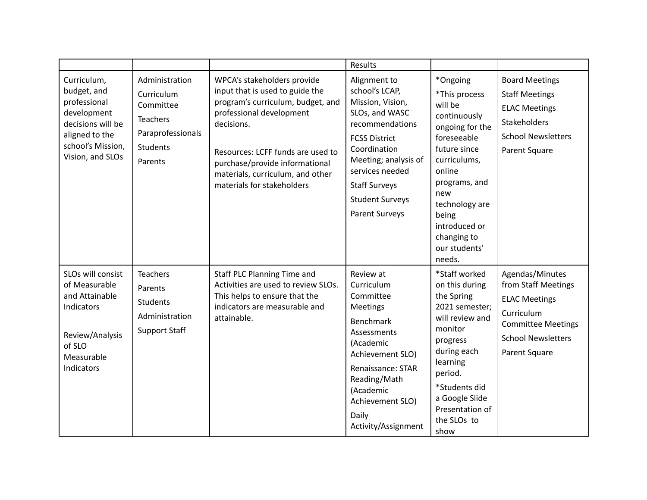|                                                                                                                                           |                                                                                                                 |                                                                                                                                                                                                                                                                                        | <b>Results</b>                                                                                                                                                                                                                                 |                                                                                                                                                                                                                                                |                                                                                                                                                         |
|-------------------------------------------------------------------------------------------------------------------------------------------|-----------------------------------------------------------------------------------------------------------------|----------------------------------------------------------------------------------------------------------------------------------------------------------------------------------------------------------------------------------------------------------------------------------------|------------------------------------------------------------------------------------------------------------------------------------------------------------------------------------------------------------------------------------------------|------------------------------------------------------------------------------------------------------------------------------------------------------------------------------------------------------------------------------------------------|---------------------------------------------------------------------------------------------------------------------------------------------------------|
| Curriculum,<br>budget, and<br>professional<br>development<br>decisions will be<br>aligned to the<br>school's Mission,<br>Vision, and SLOs | Administration<br>Curriculum<br>Committee<br><b>Teachers</b><br>Paraprofessionals<br><b>Students</b><br>Parents | WPCA's stakeholders provide<br>input that is used to guide the<br>program's curriculum, budget, and<br>professional development<br>decisions.<br>Resources: LCFF funds are used to<br>purchase/provide informational<br>materials, curriculum, and other<br>materials for stakeholders | Alignment to<br>school's LCAP,<br>Mission, Vision,<br>SLOs, and WASC<br>recommendations<br><b>FCSS District</b><br>Coordination<br>Meeting; analysis of<br>services needed<br><b>Staff Surveys</b><br><b>Student Surveys</b><br>Parent Surveys | *Ongoing<br>*This process<br>will be<br>continuously<br>ongoing for the<br>foreseeable<br>future since<br>curriculums,<br>online<br>programs, and<br>new<br>technology are<br>being<br>introduced or<br>changing to<br>our students'<br>needs. | <b>Board Meetings</b><br><b>Staff Meetings</b><br><b>ELAC Meetings</b><br>Stakeholders<br><b>School Newsletters</b><br>Parent Square                    |
| SLOs will consist<br>of Measurable<br>and Attainable<br>Indicators<br>Review/Analysis<br>of SLO<br>Measurable<br>Indicators               | <b>Teachers</b><br>Parents<br><b>Students</b><br>Administration<br><b>Support Staff</b>                         | Staff PLC Planning Time and<br>Activities are used to review SLOs.<br>This helps to ensure that the<br>indicators are measurable and<br>attainable.                                                                                                                                    | Review at<br>Curriculum<br>Committee<br>Meetings<br><b>Benchmark</b><br>Assessments<br>(Academic<br>Achievement SLO)<br>Renaissance: STAR<br>Reading/Math<br>(Academic<br>Achievement SLO)<br>Daily<br>Activity/Assignment                     | *Staff worked<br>on this during<br>the Spring<br>2021 semester;<br>will review and<br>monitor<br>progress<br>during each<br>learning<br>period.<br>*Students did<br>a Google Slide<br>Presentation of<br>the SLOs to<br>show                   | Agendas/Minutes<br>from Staff Meetings<br><b>ELAC Meetings</b><br>Curriculum<br><b>Committee Meetings</b><br><b>School Newsletters</b><br>Parent Square |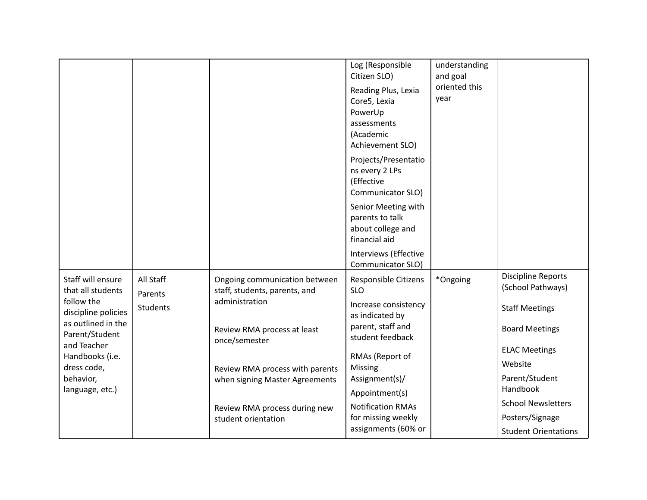|                                                     |                      |                                                                | Log (Responsible<br>Citizen SLO)<br>Reading Plus, Lexia<br>Core5, Lexia<br>PowerUp<br>assessments<br>(Academic<br>Achievement SLO)<br>Projects/Presentatio<br>ns every 2 LPs<br>(Effective<br>Communicator SLO)<br>Senior Meeting with<br>parents to talk<br>about college and<br>financial aid | understanding<br>and goal<br>oriented this<br>year |                                                |
|-----------------------------------------------------|----------------------|----------------------------------------------------------------|-------------------------------------------------------------------------------------------------------------------------------------------------------------------------------------------------------------------------------------------------------------------------------------------------|----------------------------------------------------|------------------------------------------------|
|                                                     |                      |                                                                | Interviews (Effective<br>Communicator SLO)                                                                                                                                                                                                                                                      |                                                    |                                                |
| Staff will ensure<br>that all students              | All Staff<br>Parents | Ongoing communication between<br>staff, students, parents, and | Responsible Citizens<br><b>SLO</b>                                                                                                                                                                                                                                                              | *Ongoing                                           | <b>Discipline Reports</b><br>(School Pathways) |
| follow the<br>discipline policies                   | <b>Students</b>      | administration                                                 | Increase consistency<br>as indicated by                                                                                                                                                                                                                                                         |                                                    | <b>Staff Meetings</b>                          |
| as outlined in the<br>Parent/Student<br>and Teacher |                      | Review RMA process at least<br>once/semester                   | parent, staff and<br>student feedback                                                                                                                                                                                                                                                           |                                                    | <b>Board Meetings</b>                          |
| Handbooks (i.e.<br>dress code,                      |                      | Review RMA process with parents                                | RMAs (Report of<br>Missing                                                                                                                                                                                                                                                                      |                                                    | <b>ELAC Meetings</b><br>Website                |
| behavior,<br>language, etc.)                        |                      | when signing Master Agreements                                 | Assignment(s)/                                                                                                                                                                                                                                                                                  |                                                    | Parent/Student<br>Handbook                     |
|                                                     |                      | Review RMA process during new                                  | Appointment(s)<br><b>Notification RMAs</b>                                                                                                                                                                                                                                                      |                                                    | <b>School Newsletters</b>                      |
|                                                     |                      | student orientation                                            | for missing weekly                                                                                                                                                                                                                                                                              |                                                    | Posters/Signage                                |
|                                                     |                      |                                                                | assignments (60% or                                                                                                                                                                                                                                                                             |                                                    | <b>Student Orientations</b>                    |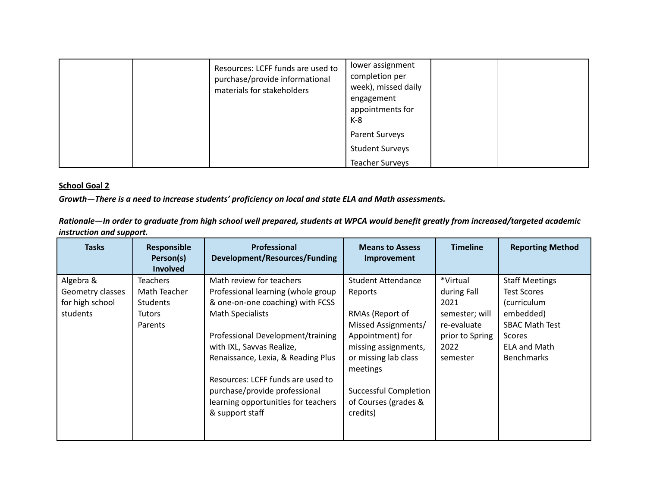|  | Resources: LCFF funds are used to<br>purchase/provide informational<br>materials for stakeholders | lower assignment<br>completion per<br>week), missed daily<br>engagement<br>appointments for<br>K-8 |  |
|--|---------------------------------------------------------------------------------------------------|----------------------------------------------------------------------------------------------------|--|
|  |                                                                                                   | Parent Surveys                                                                                     |  |
|  |                                                                                                   | <b>Student Surveys</b>                                                                             |  |
|  |                                                                                                   | <b>Teacher Surveys</b>                                                                             |  |

*Growth—There is a need to increase students' proficiency on local and state ELA and Math assessments.*

Rationale-In order to graduate from high school well prepared, students at WPCA would benefit greatly from increased/targeted academic *instruction and support.*

| <b>Tasks</b>     | Responsible<br>Person(s)<br><b>Involved</b> | <b>Professional</b><br><b>Development/Resources/Funding</b> | <b>Means to Assess</b><br><b>Improvement</b> | <b>Timeline</b> | <b>Reporting Method</b> |
|------------------|---------------------------------------------|-------------------------------------------------------------|----------------------------------------------|-----------------|-------------------------|
| Algebra &        | <b>Teachers</b>                             | Math review for teachers                                    | <b>Student Attendance</b>                    | *Virtual        | <b>Staff Meetings</b>   |
| Geometry classes | Math Teacher                                | Professional learning (whole group                          | Reports                                      | during Fall     | <b>Test Scores</b>      |
| for high school  | Students                                    | & one-on-one coaching) with FCSS                            |                                              | 2021            | (curriculum             |
| students         | <b>Tutors</b>                               | <b>Math Specialists</b>                                     | RMAs (Report of                              | semester; will  | embedded)               |
|                  | Parents                                     |                                                             | Missed Assignments/                          | re-evaluate     | <b>SBAC Math Test</b>   |
|                  |                                             | Professional Development/training                           | Appointment) for                             | prior to Spring | <b>Scores</b>           |
|                  |                                             | with IXL, Savvas Realize,                                   | missing assignments,                         | 2022            | <b>ELA and Math</b>     |
|                  |                                             | Renaissance, Lexia, & Reading Plus                          | or missing lab class<br>meetings             | semester        | <b>Benchmarks</b>       |
|                  |                                             | Resources: LCFF funds are used to                           |                                              |                 |                         |
|                  |                                             | purchase/provide professional                               | <b>Successful Completion</b>                 |                 |                         |
|                  |                                             | learning opportunities for teachers                         | of Courses (grades &                         |                 |                         |
|                  |                                             | & support staff                                             | credits)                                     |                 |                         |
|                  |                                             |                                                             |                                              |                 |                         |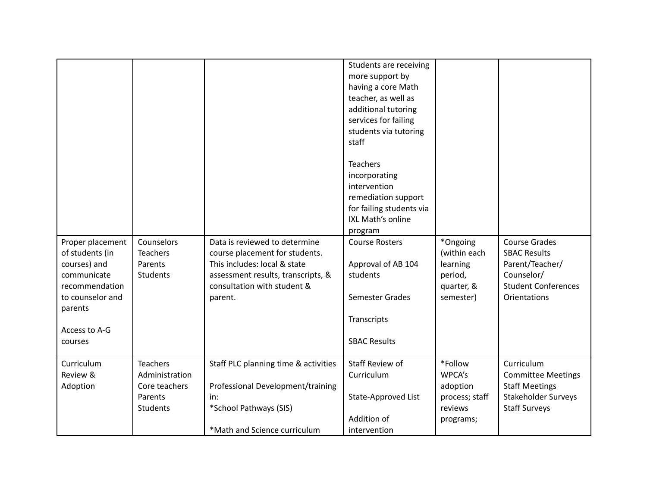| Proper placement<br>of students (in<br>courses) and<br>communicate<br>recommendation<br>to counselor and | Counselors<br><b>Teachers</b><br>Parents<br><b>Students</b> | Data is reviewed to determine<br>course placement for students.<br>This includes: local & state<br>assessment results, transcripts, &<br>consultation with student &<br>parent. | Students are receiving<br>more support by<br>having a core Math<br>teacher, as well as<br>additional tutoring<br>services for failing<br>students via tutoring<br>staff<br><b>Teachers</b><br>incorporating<br>intervention<br>remediation support<br>for failing students via<br>IXL Math's online<br>program<br><b>Course Rosters</b><br>Approval of AB 104<br>students<br>Semester Grades | *Ongoing<br>(within each<br>learning<br>period,<br>quarter, &<br>semester) | <b>Course Grades</b><br><b>SBAC Results</b><br>Parent/Teacher/<br>Counselor/<br><b>Student Conferences</b><br><b>Orientations</b> |
|----------------------------------------------------------------------------------------------------------|-------------------------------------------------------------|---------------------------------------------------------------------------------------------------------------------------------------------------------------------------------|----------------------------------------------------------------------------------------------------------------------------------------------------------------------------------------------------------------------------------------------------------------------------------------------------------------------------------------------------------------------------------------------|----------------------------------------------------------------------------|-----------------------------------------------------------------------------------------------------------------------------------|
| parents                                                                                                  |                                                             |                                                                                                                                                                                 |                                                                                                                                                                                                                                                                                                                                                                                              |                                                                            |                                                                                                                                   |
| Access to A-G                                                                                            |                                                             |                                                                                                                                                                                 | Transcripts                                                                                                                                                                                                                                                                                                                                                                                  |                                                                            |                                                                                                                                   |
| courses                                                                                                  |                                                             |                                                                                                                                                                                 | <b>SBAC Results</b>                                                                                                                                                                                                                                                                                                                                                                          |                                                                            |                                                                                                                                   |
| Curriculum                                                                                               | <b>Teachers</b>                                             | Staff PLC planning time & activities                                                                                                                                            | <b>Staff Review of</b>                                                                                                                                                                                                                                                                                                                                                                       | *Follow                                                                    | Curriculum                                                                                                                        |
| Review &                                                                                                 | Administration                                              |                                                                                                                                                                                 | Curriculum                                                                                                                                                                                                                                                                                                                                                                                   | WPCA's                                                                     | <b>Committee Meetings</b>                                                                                                         |
| Adoption                                                                                                 | Core teachers                                               | Professional Development/training                                                                                                                                               |                                                                                                                                                                                                                                                                                                                                                                                              | adoption                                                                   | <b>Staff Meetings</b>                                                                                                             |
|                                                                                                          | Parents                                                     | in:                                                                                                                                                                             | State-Approved List                                                                                                                                                                                                                                                                                                                                                                          | process; staff                                                             | Stakeholder Surveys                                                                                                               |
|                                                                                                          | Students                                                    | *School Pathways (SIS)                                                                                                                                                          |                                                                                                                                                                                                                                                                                                                                                                                              | reviews                                                                    | <b>Staff Surveys</b>                                                                                                              |
|                                                                                                          |                                                             |                                                                                                                                                                                 | Addition of                                                                                                                                                                                                                                                                                                                                                                                  | programs;                                                                  |                                                                                                                                   |
|                                                                                                          |                                                             | *Math and Science curriculum                                                                                                                                                    | intervention                                                                                                                                                                                                                                                                                                                                                                                 |                                                                            |                                                                                                                                   |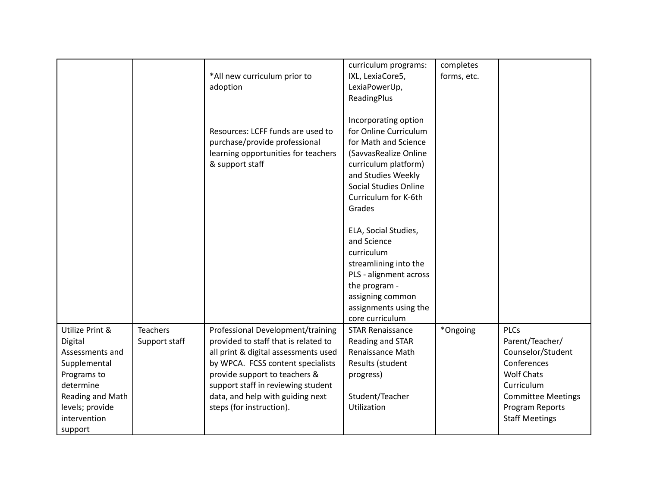|                                                                                                                                                             |                                  | *All new curriculum prior to<br>adoption                                                                                                                                                                                                                                                      | curriculum programs:<br>IXL, LexiaCore5,<br>LexiaPowerUp,<br>ReadingPlus                                                                                                                                | completes<br>forms, etc. |                                                                                                                                                                                |
|-------------------------------------------------------------------------------------------------------------------------------------------------------------|----------------------------------|-----------------------------------------------------------------------------------------------------------------------------------------------------------------------------------------------------------------------------------------------------------------------------------------------|---------------------------------------------------------------------------------------------------------------------------------------------------------------------------------------------------------|--------------------------|--------------------------------------------------------------------------------------------------------------------------------------------------------------------------------|
|                                                                                                                                                             |                                  | Resources: LCFF funds are used to<br>purchase/provide professional<br>learning opportunities for teachers<br>& support staff                                                                                                                                                                  | Incorporating option<br>for Online Curriculum<br>for Math and Science<br>(SavvasRealize Online<br>curriculum platform)<br>and Studies Weekly<br>Social Studies Online<br>Curriculum for K-6th<br>Grades |                          |                                                                                                                                                                                |
|                                                                                                                                                             |                                  |                                                                                                                                                                                                                                                                                               | ELA, Social Studies,<br>and Science<br>curriculum<br>streamlining into the<br>PLS - alignment across<br>the program -<br>assigning common<br>assignments using the<br>core curriculum                   |                          |                                                                                                                                                                                |
| Utilize Print &<br>Digital<br>Assessments and<br>Supplemental<br>Programs to<br>determine<br>Reading and Math<br>levels; provide<br>intervention<br>support | <b>Teachers</b><br>Support staff | Professional Development/training<br>provided to staff that is related to<br>all print & digital assessments used<br>by WPCA. FCSS content specialists<br>provide support to teachers &<br>support staff in reviewing student<br>data, and help with guiding next<br>steps (for instruction). | <b>STAR Renaissance</b><br>Reading and STAR<br>Renaissance Math<br>Results (student<br>progress)<br>Student/Teacher<br>Utilization                                                                      | *Ongoing                 | <b>PLCs</b><br>Parent/Teacher/<br>Counselor/Student<br>Conferences<br><b>Wolf Chats</b><br>Curriculum<br><b>Committee Meetings</b><br>Program Reports<br><b>Staff Meetings</b> |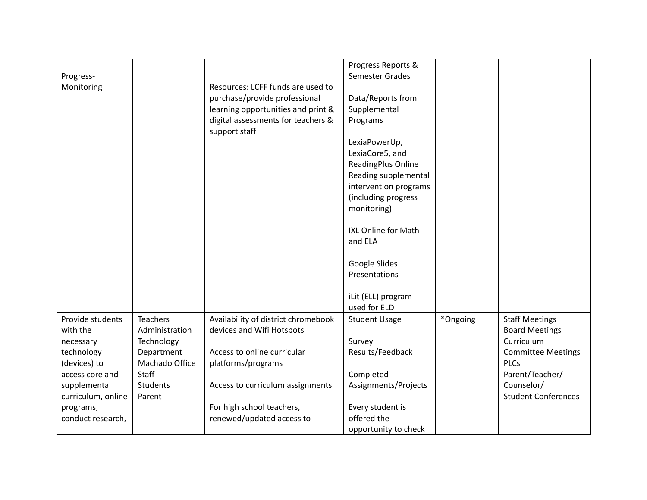|                    |                 |                                     | Progress Reports &         |          |                            |
|--------------------|-----------------|-------------------------------------|----------------------------|----------|----------------------------|
| Progress-          |                 |                                     | Semester Grades            |          |                            |
|                    |                 | Resources: LCFF funds are used to   |                            |          |                            |
| Monitoring         |                 |                                     |                            |          |                            |
|                    |                 | purchase/provide professional       | Data/Reports from          |          |                            |
|                    |                 | learning opportunities and print &  | Supplemental               |          |                            |
|                    |                 | digital assessments for teachers &  | Programs                   |          |                            |
|                    |                 | support staff                       |                            |          |                            |
|                    |                 |                                     | LexiaPowerUp,              |          |                            |
|                    |                 |                                     | LexiaCore5, and            |          |                            |
|                    |                 |                                     | ReadingPlus Online         |          |                            |
|                    |                 |                                     | Reading supplemental       |          |                            |
|                    |                 |                                     | intervention programs      |          |                            |
|                    |                 |                                     | (including progress        |          |                            |
|                    |                 |                                     | monitoring)                |          |                            |
|                    |                 |                                     |                            |          |                            |
|                    |                 |                                     | <b>IXL Online for Math</b> |          |                            |
|                    |                 |                                     | and ELA                    |          |                            |
|                    |                 |                                     |                            |          |                            |
|                    |                 |                                     |                            |          |                            |
|                    |                 |                                     | Google Slides              |          |                            |
|                    |                 |                                     | Presentations              |          |                            |
|                    |                 |                                     |                            |          |                            |
|                    |                 |                                     | iLit (ELL) program         |          |                            |
|                    |                 |                                     | used for ELD               |          |                            |
| Provide students   | <b>Teachers</b> | Availability of district chromebook | <b>Student Usage</b>       | *Ongoing | <b>Staff Meetings</b>      |
| with the           | Administration  | devices and Wifi Hotspots           |                            |          | <b>Board Meetings</b>      |
| necessary          | Technology      |                                     | Survey                     |          | Curriculum                 |
| technology         | Department      | Access to online curricular         | Results/Feedback           |          | <b>Committee Meetings</b>  |
| (devices) to       | Machado Office  | platforms/programs                  |                            |          | <b>PLCs</b>                |
| access core and    | <b>Staff</b>    |                                     | Completed                  |          | Parent/Teacher/            |
| supplemental       | <b>Students</b> | Access to curriculum assignments    | Assignments/Projects       |          | Counselor/                 |
| curriculum, online | Parent          |                                     |                            |          | <b>Student Conferences</b> |
|                    |                 |                                     |                            |          |                            |
| programs,          |                 | For high school teachers,           | Every student is           |          |                            |
| conduct research,  |                 | renewed/updated access to           | offered the                |          |                            |
|                    |                 |                                     | opportunity to check       |          |                            |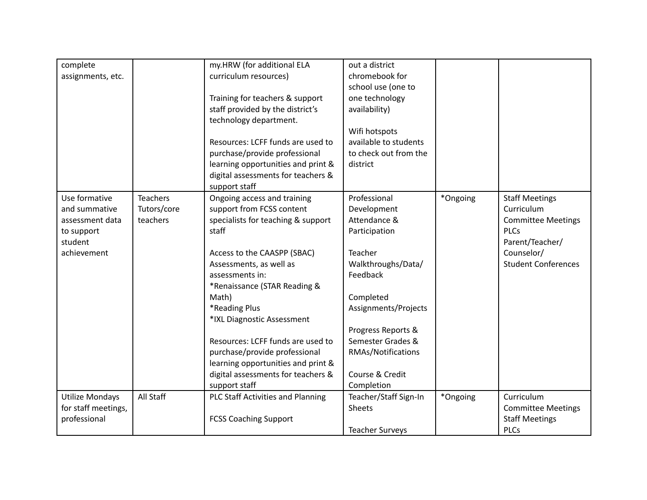| complete<br>assignments, etc.                                                             |                                            | my.HRW (for additional ELA<br>curriculum resources)<br>Training for teachers & support<br>staff provided by the district's<br>technology department.<br>Resources: LCFF funds are used to<br>purchase/provide professional<br>learning opportunities and print &<br>digital assessments for teachers &<br>support staff                                                                                                                         | out a district<br>chromebook for<br>school use (one to<br>one technology<br>availability)<br>Wifi hotspots<br>available to students<br>to check out from the<br>district                                                                         |          |                                                                                                                                                |
|-------------------------------------------------------------------------------------------|--------------------------------------------|-------------------------------------------------------------------------------------------------------------------------------------------------------------------------------------------------------------------------------------------------------------------------------------------------------------------------------------------------------------------------------------------------------------------------------------------------|--------------------------------------------------------------------------------------------------------------------------------------------------------------------------------------------------------------------------------------------------|----------|------------------------------------------------------------------------------------------------------------------------------------------------|
| Use formative<br>and summative<br>assessment data<br>to support<br>student<br>achievement | <b>Teachers</b><br>Tutors/core<br>teachers | Ongoing access and training<br>support from FCSS content<br>specialists for teaching & support<br>staff<br>Access to the CAASPP (SBAC)<br>Assessments, as well as<br>assessments in:<br>*Renaissance (STAR Reading &<br>Math)<br>*Reading Plus<br>*IXL Diagnostic Assessment<br>Resources: LCFF funds are used to<br>purchase/provide professional<br>learning opportunities and print &<br>digital assessments for teachers &<br>support staff | Professional<br>Development<br>Attendance &<br>Participation<br>Teacher<br>Walkthroughs/Data/<br>Feedback<br>Completed<br>Assignments/Projects<br>Progress Reports &<br>Semester Grades &<br>RMAs/Notifications<br>Course & Credit<br>Completion | *Ongoing | <b>Staff Meetings</b><br>Curriculum<br><b>Committee Meetings</b><br><b>PLCs</b><br>Parent/Teacher/<br>Counselor/<br><b>Student Conferences</b> |
| <b>Utilize Mondays</b><br>for staff meetings,<br>professional                             | All Staff                                  | PLC Staff Activities and Planning<br><b>FCSS Coaching Support</b>                                                                                                                                                                                                                                                                                                                                                                               | Teacher/Staff Sign-In<br><b>Sheets</b><br><b>Teacher Surveys</b>                                                                                                                                                                                 | *Ongoing | Curriculum<br><b>Committee Meetings</b><br><b>Staff Meetings</b><br><b>PLCs</b>                                                                |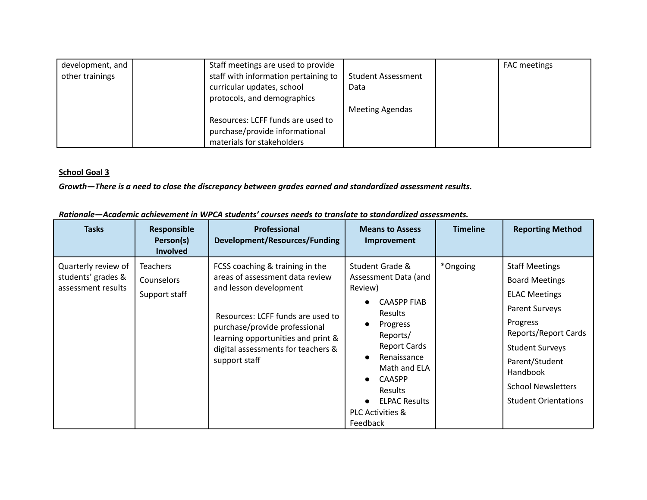| development, and | Staff meetings are used to provide   |                           | <b>FAC</b> meetings |
|------------------|--------------------------------------|---------------------------|---------------------|
| other trainings  | staff with information pertaining to | <b>Student Assessment</b> |                     |
|                  | curricular updates, school           | Data                      |                     |
|                  | protocols, and demographics          |                           |                     |
|                  |                                      | <b>Meeting Agendas</b>    |                     |
|                  | Resources: LCFF funds are used to    |                           |                     |
|                  | purchase/provide informational       |                           |                     |
|                  | materials for stakeholders           |                           |                     |

*Growth—There is a need to close the discrepancy between grades earned and standardized assessment results.*

|  |  | Rationale—Academic achievement in WPCA students' courses needs to translate to standardized assessments. |  |
|--|--|----------------------------------------------------------------------------------------------------------|--|
|  |  |                                                                                                          |  |

| <b>Tasks</b>                                                    | Responsible<br>Person(s)<br><b>Involved</b>    | <b>Professional</b><br>Development/Resources/Funding                                                                                                                                                                                                            | <b>Means to Assess</b><br>Improvement                                                                                                                                                                                                                                                                                 | <b>Timeline</b> | <b>Reporting Method</b>                                                                                                                                                                                                                          |
|-----------------------------------------------------------------|------------------------------------------------|-----------------------------------------------------------------------------------------------------------------------------------------------------------------------------------------------------------------------------------------------------------------|-----------------------------------------------------------------------------------------------------------------------------------------------------------------------------------------------------------------------------------------------------------------------------------------------------------------------|-----------------|--------------------------------------------------------------------------------------------------------------------------------------------------------------------------------------------------------------------------------------------------|
| Quarterly review of<br>students' grades &<br>assessment results | <b>Teachers</b><br>Counselors<br>Support staff | FCSS coaching & training in the<br>areas of assessment data review<br>and lesson development<br>Resources: LCFF funds are used to<br>purchase/provide professional<br>learning opportunities and print &<br>digital assessments for teachers &<br>support staff | Student Grade &<br>Assessment Data (and<br>Review)<br><b>CAASPP FIAB</b><br><b>Results</b><br>Progress<br>$\bullet$<br>Reports/<br><b>Report Cards</b><br>Renaissance<br>$\bullet$<br>Math and ELA<br><b>CAASPP</b><br>$\bullet$<br><b>Results</b><br><b>ELPAC Results</b><br><b>PLC Activities &amp;</b><br>Feedback | *Ongoing*       | <b>Staff Meetings</b><br><b>Board Meetings</b><br><b>ELAC Meetings</b><br>Parent Surveys<br>Progress<br>Reports/Report Cards<br><b>Student Surveys</b><br>Parent/Student<br>Handbook<br><b>School Newsletters</b><br><b>Student Orientations</b> |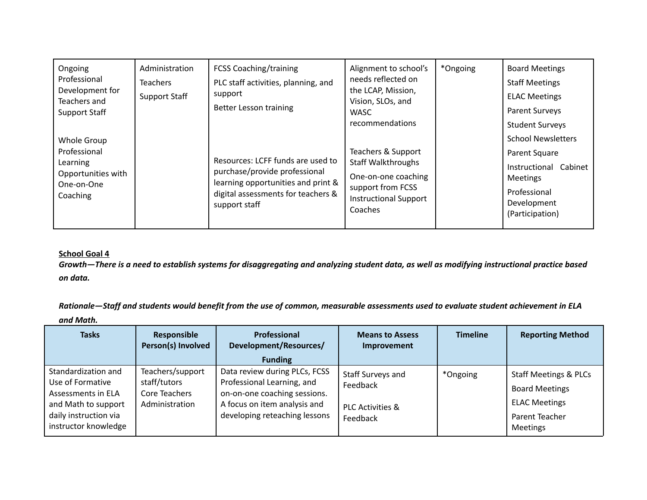| Ongoing<br>Professional<br>Development for<br>Teachers and<br><b>Support Staff</b><br>Whole Group<br>Professional<br><b>Learning</b> | Administration<br><b>Teachers</b><br><b>Support Staff</b> | <b>FCSS Coaching/training</b><br>PLC staff activities, planning, and<br>support<br>Better Lesson training<br>Resources: LCFF funds are used to | Alignment to school's<br>needs reflected on<br>the LCAP, Mission,<br>Vision, SLOs, and<br><b>WASC</b><br>recommendations<br>Teachers & Support<br><b>Staff Walkthroughs</b> | *Ongoing* | <b>Board Meetings</b><br><b>Staff Meetings</b><br><b>ELAC Meetings</b><br>Parent Surveys<br><b>Student Surveys</b><br><b>School Newsletters</b><br>Parent Square<br>Instructional Cabinet |
|--------------------------------------------------------------------------------------------------------------------------------------|-----------------------------------------------------------|------------------------------------------------------------------------------------------------------------------------------------------------|-----------------------------------------------------------------------------------------------------------------------------------------------------------------------------|-----------|-------------------------------------------------------------------------------------------------------------------------------------------------------------------------------------------|
| Opportunities with<br>One-on-One<br>Coaching                                                                                         |                                                           | purchase/provide professional<br>learning opportunities and print &<br>digital assessments for teachers &<br>support staff                     | One-on-one coaching<br>support from FCSS<br><b>Instructional Support</b><br>Coaches                                                                                         |           | <b>Meetings</b><br>Professional<br>Development<br>(Participation)                                                                                                                         |

Growth-There is a need to establish systems for disaggregating and analyzing student data, as well as modifying instructional practice based *on data.*

Rationale-Staff and students would benefit from the use of common, measurable assessments used to evaluate student achievement in ELA *and Math.*

| <b>Tasks</b>                                                                                                                          | Responsible<br>Person(s) Involved                                   | Professional<br>Development/Resources/<br><b>Funding</b>                                                                                                     | <b>Means to Assess</b><br>Improvement                                    | <b>Timeline</b> | <b>Reporting Method</b>                                                                                                |
|---------------------------------------------------------------------------------------------------------------------------------------|---------------------------------------------------------------------|--------------------------------------------------------------------------------------------------------------------------------------------------------------|--------------------------------------------------------------------------|-----------------|------------------------------------------------------------------------------------------------------------------------|
| Standardization and<br>Use of Formative<br>Assessments in ELA<br>and Math to support<br>daily instruction via<br>instructor knowledge | Teachers/support<br>staff/tutors<br>Core Teachers<br>Administration | Data review during PLCs, FCSS<br>Professional Learning, and<br>on-on-one coaching sessions.<br>A focus on item analysis and<br>developing reteaching lessons | Staff Surveys and<br>Feedback<br><b>PLC Activities &amp;</b><br>Feedback | *Ongoing*       | <b>Staff Meetings &amp; PLCs</b><br><b>Board Meetings</b><br><b>ELAC Meetings</b><br>Parent Teacher<br><b>Meetings</b> |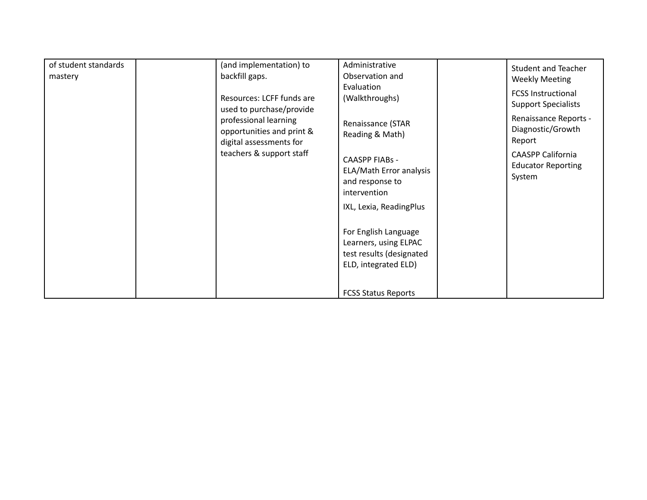| of student standards | (and implementation) to                                                       | Administrative                                                                                    | <b>Student and Teacher</b>                                      |
|----------------------|-------------------------------------------------------------------------------|---------------------------------------------------------------------------------------------------|-----------------------------------------------------------------|
| mastery              | backfill gaps.                                                                | Observation and<br>Evaluation                                                                     | <b>Weekly Meeting</b>                                           |
|                      | Resources: LCFF funds are<br>used to purchase/provide                         | (Walkthroughs)                                                                                    | <b>FCSS Instructional</b><br><b>Support Specialists</b>         |
|                      | professional learning<br>opportunities and print &<br>digital assessments for | Renaissance (STAR<br>Reading & Math)                                                              | Renaissance Reports -<br>Diagnostic/Growth<br>Report            |
|                      | teachers & support staff                                                      | <b>CAASPP FIABs -</b><br>ELA/Math Error analysis<br>and response to<br>intervention               | <b>CAASPP California</b><br><b>Educator Reporting</b><br>System |
|                      |                                                                               | IXL, Lexia, ReadingPlus                                                                           |                                                                 |
|                      |                                                                               | For English Language<br>Learners, using ELPAC<br>test results (designated<br>ELD, integrated ELD) |                                                                 |
|                      |                                                                               | <b>FCSS Status Reports</b>                                                                        |                                                                 |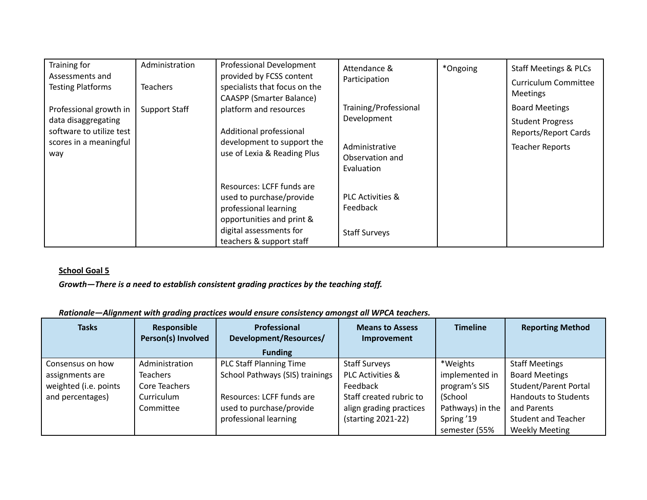| Training for             | Administration       | Professional Development        | Attendance &                | *Ongoing | <b>Staff Meetings &amp; PLCs</b> |
|--------------------------|----------------------|---------------------------------|-----------------------------|----------|----------------------------------|
| Assessments and          |                      | provided by FCSS content        | Participation               |          | Curriculum Committee             |
| <b>Testing Platforms</b> | <b>Teachers</b>      | specialists that focus on the   |                             |          | <b>Meetings</b>                  |
|                          |                      | <b>CAASPP (Smarter Balance)</b> |                             |          |                                  |
| Professional growth in   | <b>Support Staff</b> | platform and resources          | Training/Professional       |          | <b>Board Meetings</b>            |
| data disaggregating      |                      |                                 | Development                 |          | <b>Student Progress</b>          |
| software to utilize test |                      | Additional professional         |                             |          | Reports/Report Cards             |
| scores in a meaningful   |                      | development to support the      | Administrative              |          | <b>Teacher Reports</b>           |
| way                      |                      | use of Lexia & Reading Plus     | Observation and             |          |                                  |
|                          |                      |                                 | Evaluation                  |          |                                  |
|                          |                      |                                 |                             |          |                                  |
|                          |                      | Resources: LCFF funds are       |                             |          |                                  |
|                          |                      | used to purchase/provide        | <b>PLC Activities &amp;</b> |          |                                  |
|                          |                      | professional learning           | Feedback                    |          |                                  |
|                          |                      | opportunities and print &       |                             |          |                                  |
|                          |                      | digital assessments for         | <b>Staff Surveys</b>        |          |                                  |
|                          |                      | teachers & support staff        |                             |          |                                  |

*Growth—There is a need to establish consistent grading practices by the teaching staff.*

| Rationale-Alignment with grading practices would ensure consistency amongst all WPCA teachers. |
|------------------------------------------------------------------------------------------------|
|------------------------------------------------------------------------------------------------|

| <b>Tasks</b>                                                                     | Responsible<br>Person(s) Involved                                             | <b>Professional</b><br>Development/Resources/<br><b>Funding</b>                                                                                     | <b>Means to Assess</b><br>Improvement                                                                                                       | <b>Timeline</b>                                                                                           | <b>Reporting Method</b>                                                                                                                                                             |
|----------------------------------------------------------------------------------|-------------------------------------------------------------------------------|-----------------------------------------------------------------------------------------------------------------------------------------------------|---------------------------------------------------------------------------------------------------------------------------------------------|-----------------------------------------------------------------------------------------------------------|-------------------------------------------------------------------------------------------------------------------------------------------------------------------------------------|
| Consensus on how<br>assignments are<br>weighted (i.e. points<br>and percentages) | Administration<br><b>Teachers</b><br>Core Teachers<br>Curriculum<br>Committee | <b>PLC Staff Planning Time</b><br>School Pathways (SIS) trainings<br>Resources: LCFF funds are<br>used to purchase/provide<br>professional learning | <b>Staff Surveys</b><br><b>PLC Activities &amp;</b><br>Feedback<br>Staff created rubric to<br>align grading practices<br>(starting 2021-22) | *Weights<br>implemented in<br>program's SIS<br>(School<br>Pathways) in the<br>Spring '19<br>semester (55% | <b>Staff Meetings</b><br><b>Board Meetings</b><br><b>Student/Parent Portal</b><br><b>Handouts to Students</b><br>and Parents<br><b>Student and Teacher</b><br><b>Weekly Meeting</b> |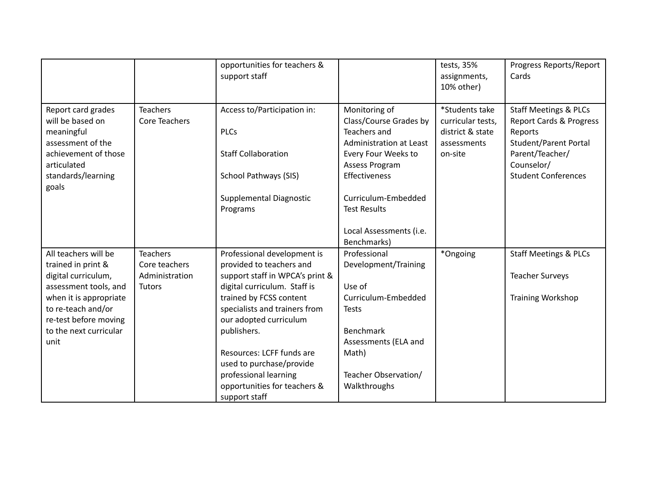|                                                                                                                                                 |                                  | opportunities for teachers &<br>support staff                                                     |                                                                                                                                                     | tests, 35%<br>assignments,<br>10% other)                                          | Progress Reports/Report<br>Cards                                                                                                                                      |
|-------------------------------------------------------------------------------------------------------------------------------------------------|----------------------------------|---------------------------------------------------------------------------------------------------|-----------------------------------------------------------------------------------------------------------------------------------------------------|-----------------------------------------------------------------------------------|-----------------------------------------------------------------------------------------------------------------------------------------------------------------------|
| Report card grades<br>will be based on<br>meaningful<br>assessment of the<br>achievement of those<br>articulated<br>standards/learning<br>goals | <b>Teachers</b><br>Core Teachers | Access to/Participation in:<br><b>PLCs</b><br><b>Staff Collaboration</b><br>School Pathways (SIS) | Monitoring of<br>Class/Course Grades by<br>Teachers and<br><b>Administration at Least</b><br>Every Four Weeks to<br>Assess Program<br>Effectiveness | *Students take<br>curricular tests,<br>district & state<br>assessments<br>on-site | <b>Staff Meetings &amp; PLCs</b><br>Report Cards & Progress<br>Reports<br><b>Student/Parent Portal</b><br>Parent/Teacher/<br>Counselor/<br><b>Student Conferences</b> |
|                                                                                                                                                 |                                  | Supplemental Diagnostic<br>Programs                                                               | Curriculum-Embedded<br><b>Test Results</b><br>Local Assessments (i.e.<br>Benchmarks)                                                                |                                                                                   |                                                                                                                                                                       |
| All teachers will be                                                                                                                            | <b>Teachers</b>                  | Professional development is                                                                       | Professional                                                                                                                                        | *Ongoing                                                                          | <b>Staff Meetings &amp; PLCs</b>                                                                                                                                      |
| trained in print &                                                                                                                              | Core teachers                    | provided to teachers and                                                                          | Development/Training                                                                                                                                |                                                                                   |                                                                                                                                                                       |
| digital curriculum,                                                                                                                             | Administration                   | support staff in WPCA's print &                                                                   |                                                                                                                                                     |                                                                                   | <b>Teacher Surveys</b>                                                                                                                                                |
| assessment tools, and                                                                                                                           | <b>Tutors</b>                    | digital curriculum. Staff is                                                                      | Use of                                                                                                                                              |                                                                                   |                                                                                                                                                                       |
| when it is appropriate                                                                                                                          |                                  | trained by FCSS content                                                                           | Curriculum-Embedded                                                                                                                                 |                                                                                   | <b>Training Workshop</b>                                                                                                                                              |
| to re-teach and/or                                                                                                                              |                                  | specialists and trainers from                                                                     | <b>Tests</b>                                                                                                                                        |                                                                                   |                                                                                                                                                                       |
| re-test before moving                                                                                                                           |                                  | our adopted curriculum                                                                            |                                                                                                                                                     |                                                                                   |                                                                                                                                                                       |
| to the next curricular                                                                                                                          |                                  | publishers.                                                                                       | <b>Benchmark</b>                                                                                                                                    |                                                                                   |                                                                                                                                                                       |
| unit                                                                                                                                            |                                  |                                                                                                   | Assessments (ELA and                                                                                                                                |                                                                                   |                                                                                                                                                                       |
|                                                                                                                                                 |                                  | Resources: LCFF funds are                                                                         | Math)                                                                                                                                               |                                                                                   |                                                                                                                                                                       |
|                                                                                                                                                 |                                  | used to purchase/provide                                                                          | Teacher Observation/                                                                                                                                |                                                                                   |                                                                                                                                                                       |
|                                                                                                                                                 |                                  | professional learning<br>opportunities for teachers &                                             | Walkthroughs                                                                                                                                        |                                                                                   |                                                                                                                                                                       |
|                                                                                                                                                 |                                  | support staff                                                                                     |                                                                                                                                                     |                                                                                   |                                                                                                                                                                       |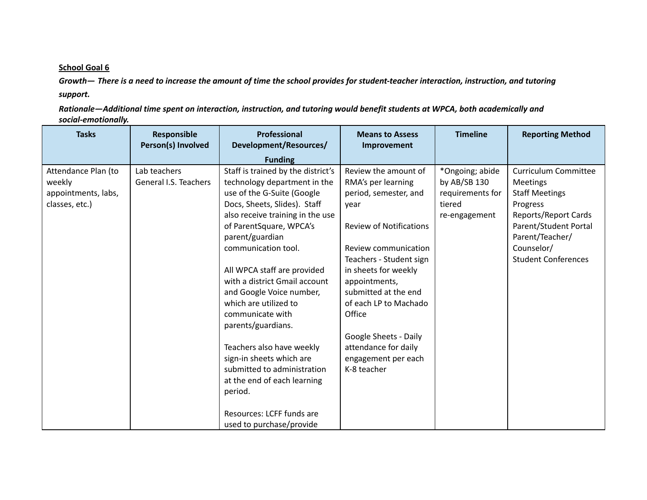Growth-There is a need to increase the amount of time the school provides for student-teacher interaction, instruction, and tutoring *support.*

Rationale-Additional time spent on interaction, instruction, and tutoring would benefit students at WPCA, both academically and *social-emotionally.*

| <b>Tasks</b>                                                           | Responsible<br>Person(s) Involved     | <b>Professional</b><br>Development/Resources/                                                                                                                                                                                                                                                                                                                                                                                                                                                                                                                           | <b>Means to Assess</b><br>Improvement                                                                                                                                                                                                                                                                                                                       | <b>Timeline</b>                                                                | <b>Reporting Method</b>                                                                                                                                                                             |
|------------------------------------------------------------------------|---------------------------------------|-------------------------------------------------------------------------------------------------------------------------------------------------------------------------------------------------------------------------------------------------------------------------------------------------------------------------------------------------------------------------------------------------------------------------------------------------------------------------------------------------------------------------------------------------------------------------|-------------------------------------------------------------------------------------------------------------------------------------------------------------------------------------------------------------------------------------------------------------------------------------------------------------------------------------------------------------|--------------------------------------------------------------------------------|-----------------------------------------------------------------------------------------------------------------------------------------------------------------------------------------------------|
|                                                                        |                                       | <b>Funding</b>                                                                                                                                                                                                                                                                                                                                                                                                                                                                                                                                                          |                                                                                                                                                                                                                                                                                                                                                             |                                                                                |                                                                                                                                                                                                     |
| Attendance Plan (to<br>weekly<br>appointments, labs,<br>classes, etc.) | Lab teachers<br>General I.S. Teachers | Staff is trained by the district's<br>technology department in the<br>use of the G-Suite (Google<br>Docs, Sheets, Slides). Staff<br>also receive training in the use<br>of ParentSquare, WPCA's<br>parent/guardian<br>communication tool.<br>All WPCA staff are provided<br>with a district Gmail account<br>and Google Voice number,<br>which are utilized to<br>communicate with<br>parents/guardians.<br>Teachers also have weekly<br>sign-in sheets which are<br>submitted to administration<br>at the end of each learning<br>period.<br>Resources: LCFF funds are | Review the amount of<br>RMA's per learning<br>period, semester, and<br>vear<br><b>Review of Notifications</b><br>Review communication<br>Teachers - Student sign<br>in sheets for weekly<br>appointments,<br>submitted at the end<br>of each LP to Machado<br>Office<br>Google Sheets - Daily<br>attendance for daily<br>engagement per each<br>K-8 teacher | *Ongoing; abide<br>by AB/SB 130<br>requirements for<br>tiered<br>re-engagement | <b>Curriculum Committee</b><br><b>Meetings</b><br><b>Staff Meetings</b><br>Progress<br>Reports/Report Cards<br>Parent/Student Portal<br>Parent/Teacher/<br>Counselor/<br><b>Student Conferences</b> |
|                                                                        |                                       | used to purchase/provide                                                                                                                                                                                                                                                                                                                                                                                                                                                                                                                                                |                                                                                                                                                                                                                                                                                                                                                             |                                                                                |                                                                                                                                                                                                     |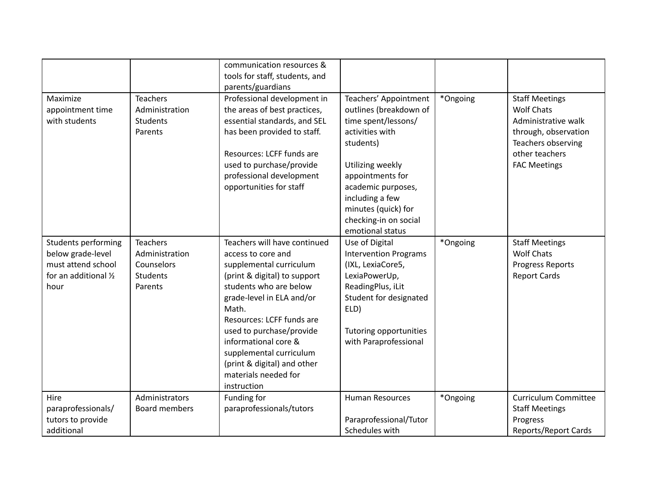|                                                                                                 |                                                                               | communication resources &<br>tools for staff, students, and<br>parents/guardians                                                                                                                                                                                                                                                                                |                                                                                                                                                                                                                                                             |          |                                                                                                                                                          |
|-------------------------------------------------------------------------------------------------|-------------------------------------------------------------------------------|-----------------------------------------------------------------------------------------------------------------------------------------------------------------------------------------------------------------------------------------------------------------------------------------------------------------------------------------------------------------|-------------------------------------------------------------------------------------------------------------------------------------------------------------------------------------------------------------------------------------------------------------|----------|----------------------------------------------------------------------------------------------------------------------------------------------------------|
| Maximize<br>appointment time<br>with students                                                   | <b>Teachers</b><br>Administration<br><b>Students</b><br>Parents               | Professional development in<br>the areas of best practices,<br>essential standards, and SEL<br>has been provided to staff.<br>Resources: LCFF funds are<br>used to purchase/provide<br>professional development<br>opportunities for staff                                                                                                                      | Teachers' Appointment<br>outlines (breakdown of<br>time spent/lessons/<br>activities with<br>students)<br>Utilizing weekly<br>appointments for<br>academic purposes,<br>including a few<br>minutes (quick) for<br>checking-in on social<br>emotional status | *Ongoing | <b>Staff Meetings</b><br><b>Wolf Chats</b><br>Administrative walk<br>through, observation<br>Teachers observing<br>other teachers<br><b>FAC Meetings</b> |
| Students performing<br>below grade-level<br>must attend school<br>for an additional 1/2<br>hour | <b>Teachers</b><br>Administration<br>Counselors<br><b>Students</b><br>Parents | Teachers will have continued<br>access to core and<br>supplemental curriculum<br>(print & digital) to support<br>students who are below<br>grade-level in ELA and/or<br>Math.<br>Resources: LCFF funds are<br>used to purchase/provide<br>informational core &<br>supplemental curriculum<br>(print & digital) and other<br>materials needed for<br>instruction | Use of Digital<br><b>Intervention Programs</b><br>(IXL, LexiaCore5,<br>LexiaPowerUp,<br>ReadingPlus, iLit<br>Student for designated<br>ELD)<br>Tutoring opportunities<br>with Paraprofessional                                                              | *Ongoing | <b>Staff Meetings</b><br><b>Wolf Chats</b><br>Progress Reports<br><b>Report Cards</b>                                                                    |
| Hire<br>paraprofessionals/<br>tutors to provide<br>additional                                   | Administrators<br><b>Board members</b>                                        | Funding for<br>paraprofessionals/tutors                                                                                                                                                                                                                                                                                                                         | <b>Human Resources</b><br>Paraprofessional/Tutor<br>Schedules with                                                                                                                                                                                          | *Ongoing | <b>Curriculum Committee</b><br><b>Staff Meetings</b><br>Progress<br><b>Reports/Report Cards</b>                                                          |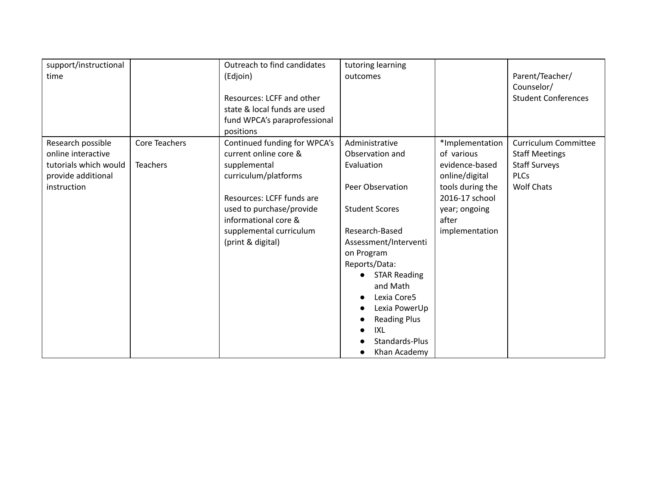| support/instructional<br>time |                 | Outreach to find candidates<br>(Edjoin)<br>Resources: LCFF and other<br>state & local funds are used<br>fund WPCA's paraprofessional<br>positions | tutoring learning<br>outcomes |                  | Parent/Teacher/<br>Counselor/<br><b>Student Conferences</b> |
|-------------------------------|-----------------|---------------------------------------------------------------------------------------------------------------------------------------------------|-------------------------------|------------------|-------------------------------------------------------------|
| Research possible             | Core Teachers   | Continued funding for WPCA's                                                                                                                      | Administrative                | *Implementation  | <b>Curriculum Committee</b>                                 |
| online interactive            |                 | current online core &                                                                                                                             | Observation and               | of various       | <b>Staff Meetings</b>                                       |
| tutorials which would         | <b>Teachers</b> | supplemental                                                                                                                                      | Evaluation                    | evidence-based   | <b>Staff Surveys</b>                                        |
| provide additional            |                 | curriculum/platforms                                                                                                                              |                               | online/digital   | <b>PLCs</b>                                                 |
| instruction                   |                 |                                                                                                                                                   | Peer Observation              | tools during the | <b>Wolf Chats</b>                                           |
|                               |                 | Resources: LCFF funds are                                                                                                                         |                               | 2016-17 school   |                                                             |
|                               |                 | used to purchase/provide                                                                                                                          | <b>Student Scores</b>         | year; ongoing    |                                                             |
|                               |                 | informational core &                                                                                                                              |                               | after            |                                                             |
|                               |                 | supplemental curriculum                                                                                                                           | Research-Based                | implementation   |                                                             |
|                               |                 | (print & digital)                                                                                                                                 | Assessment/Interventi         |                  |                                                             |
|                               |                 |                                                                                                                                                   | on Program                    |                  |                                                             |
|                               |                 |                                                                                                                                                   | Reports/Data:                 |                  |                                                             |
|                               |                 |                                                                                                                                                   | <b>STAR Reading</b>           |                  |                                                             |
|                               |                 |                                                                                                                                                   | and Math                      |                  |                                                             |
|                               |                 |                                                                                                                                                   | Lexia Core5<br>$\bullet$      |                  |                                                             |
|                               |                 |                                                                                                                                                   | Lexia PowerUp<br>$\bullet$    |                  |                                                             |
|                               |                 |                                                                                                                                                   | <b>Reading Plus</b>           |                  |                                                             |
|                               |                 |                                                                                                                                                   | IXL                           |                  |                                                             |
|                               |                 |                                                                                                                                                   | Standards-Plus                |                  |                                                             |
|                               |                 |                                                                                                                                                   | Khan Academy                  |                  |                                                             |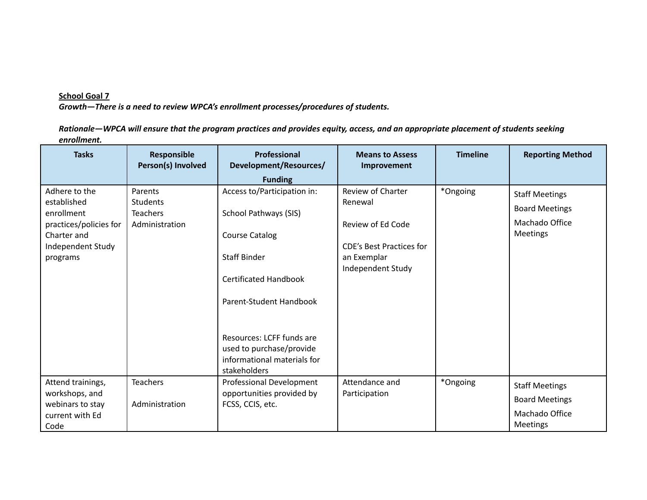*Growth—There is a need to review WPCA's enrollment processes/procedures of students.*

Rationale-WPCA will ensure that the program practices and provides equity, access, and an appropriate placement of students seeking *enrollment.*

| <b>Tasks</b>                                                                                                         | Responsible<br>Person(s) Involved                               | Professional<br>Development/Resources/                                                                                                                                                                                                                           | <b>Means to Assess</b><br>Improvement                                                                                    | <b>Timeline</b> | <b>Reporting Method</b>                                                      |
|----------------------------------------------------------------------------------------------------------------------|-----------------------------------------------------------------|------------------------------------------------------------------------------------------------------------------------------------------------------------------------------------------------------------------------------------------------------------------|--------------------------------------------------------------------------------------------------------------------------|-----------------|------------------------------------------------------------------------------|
|                                                                                                                      |                                                                 | <b>Funding</b>                                                                                                                                                                                                                                                   |                                                                                                                          |                 |                                                                              |
| Adhere to the<br>established<br>enrollment<br>practices/policies for<br>Charter and<br>Independent Study<br>programs | Parents<br><b>Students</b><br><b>Teachers</b><br>Administration | Access to/Participation in:<br>School Pathways (SIS)<br>Course Catalog<br><b>Staff Binder</b><br><b>Certificated Handbook</b><br>Parent-Student Handbook<br>Resources: LCFF funds are<br>used to purchase/provide<br>informational materials for<br>stakeholders | Review of Charter<br>Renewal<br>Review of Ed Code<br><b>CDE's Best Practices for</b><br>an Exemplar<br>Independent Study | *Ongoing        | <b>Staff Meetings</b><br><b>Board Meetings</b><br>Machado Office<br>Meetings |
| Attend trainings,<br>workshops, and<br>webinars to stay<br>current with Ed<br>Code                                   | <b>Teachers</b><br>Administration                               | Professional Development<br>opportunities provided by<br>FCSS, CCIS, etc.                                                                                                                                                                                        | Attendance and<br>Participation                                                                                          | *Ongoing        | <b>Staff Meetings</b><br><b>Board Meetings</b><br>Machado Office<br>Meetings |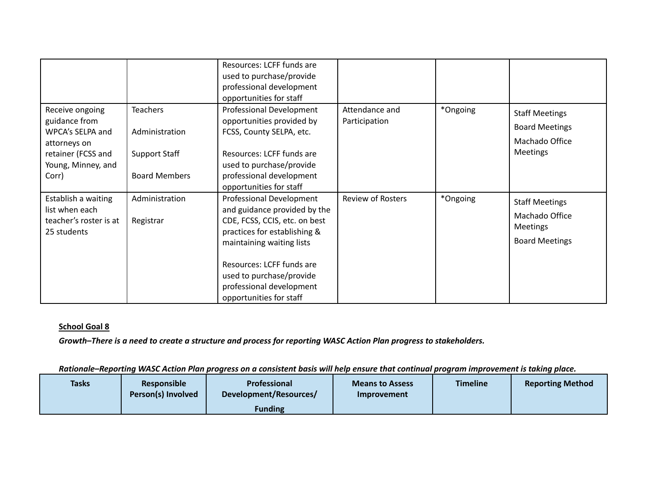|                                                                                                                           |                                                                                   | Resources: LCFF funds are<br>used to purchase/provide<br>professional development<br>opportunities for staff                                                                                                                                                           |                                 |          |                                                                                     |
|---------------------------------------------------------------------------------------------------------------------------|-----------------------------------------------------------------------------------|------------------------------------------------------------------------------------------------------------------------------------------------------------------------------------------------------------------------------------------------------------------------|---------------------------------|----------|-------------------------------------------------------------------------------------|
| Receive ongoing<br>guidance from<br>WPCA's SELPA and<br>attorneys on<br>retainer (FCSS and<br>Young, Minney, and<br>Corr) | <b>Teachers</b><br>Administration<br><b>Support Staff</b><br><b>Board Members</b> | Professional Development<br>opportunities provided by<br>FCSS, County SELPA, etc.<br>Resources: LCFF funds are<br>used to purchase/provide<br>professional development<br>opportunities for staff                                                                      | Attendance and<br>Participation | *Ongoing | <b>Staff Meetings</b><br><b>Board Meetings</b><br>Machado Office<br><b>Meetings</b> |
| Establish a waiting<br>list when each<br>teacher's roster is at<br>25 students                                            | Administration<br>Registrar                                                       | Professional Development<br>and guidance provided by the<br>CDE, FCSS, CCIS, etc. on best<br>practices for establishing &<br>maintaining waiting lists<br>Resources: LCFF funds are<br>used to purchase/provide<br>professional development<br>opportunities for staff | <b>Review of Rosters</b>        | *Ongoing | <b>Staff Meetings</b><br>Machado Office<br>Meetings<br><b>Board Meetings</b>        |

Growth-There is a need to create a structure and process for reporting WASC Action Plan progress to stakeholders.

Rationale-Reporting WASC Action Plan progress on a consistent basis will help ensure that continual program improvement is taking place.

| <b>Tasks</b> | <b>Responsible</b><br>Person(s) Involved | <b>Professional</b><br>Development/Resources/ | <b>Means to Assess</b><br>Improvement | <b>Timeline</b> | <b>Reporting Method</b> |  |
|--------------|------------------------------------------|-----------------------------------------------|---------------------------------------|-----------------|-------------------------|--|
|              |                                          | Funding                                       |                                       |                 |                         |  |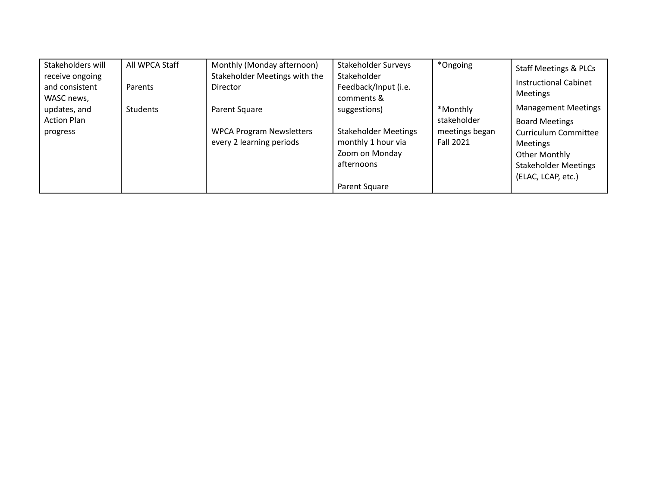| Stakeholders will  | All WPCA Staff | Monthly (Monday afternoon)      | Stakeholder Surveys         | *Ongoing         | <b>Staff Meetings &amp; PLCs</b> |
|--------------------|----------------|---------------------------------|-----------------------------|------------------|----------------------------------|
| receive ongoing    |                | Stakeholder Meetings with the   | Stakeholder                 |                  | <b>Instructional Cabinet</b>     |
| and consistent     | Parents        | <b>Director</b>                 | Feedback/Input (i.e.        |                  | <b>Meetings</b>                  |
| WASC news,         |                |                                 | comments &                  |                  |                                  |
| updates, and       | Students       | Parent Square                   | suggestions)                | *Monthly         | <b>Management Meetings</b>       |
| <b>Action Plan</b> |                |                                 |                             | stakeholder      | <b>Board Meetings</b>            |
| progress           |                | <b>WPCA Program Newsletters</b> | <b>Stakeholder Meetings</b> | meetings began   | <b>Curriculum Committee</b>      |
|                    |                | every 2 learning periods        | monthly 1 hour via          | <b>Fall 2021</b> | <b>Meetings</b>                  |
|                    |                |                                 | Zoom on Monday              |                  | Other Monthly                    |
|                    |                |                                 | afternoons                  |                  | <b>Stakeholder Meetings</b>      |
|                    |                |                                 |                             |                  | (ELAC, LCAP, etc.)               |
|                    |                |                                 | Parent Square               |                  |                                  |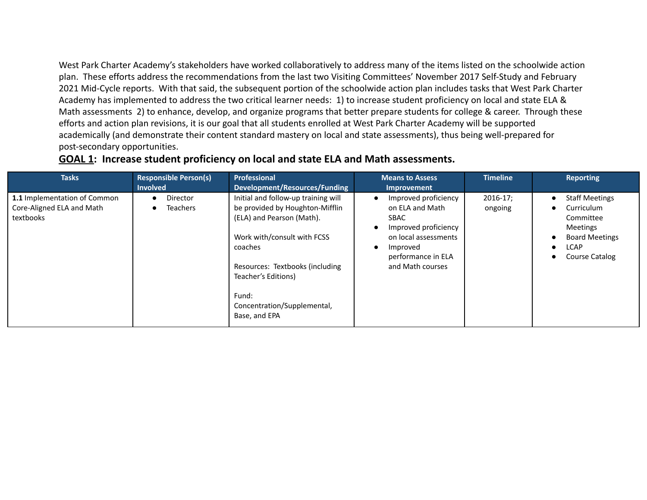West Park Charter Academy's stakeholders have worked collaboratively to address many of the items listed on the schoolwide action plan. These efforts address the recommendations from the last two Visiting Committees' November 2017 Self-Study and February 2021 Mid-Cycle reports. With that said, the subsequent portion of the schoolwide action plan includes tasks that West Park Charter Academy has implemented to address the two critical learner needs: 1) to increase student proficiency on local and state ELA & Math assessments 2) to enhance, develop, and organize programs that better prepare students for college & career. Through these efforts and action plan revisions, it is our goal that all students enrolled at West Park Charter Academy will be supported academically (and demonstrate their content standard mastery on local and state assessments), thus being well-prepared for post-secondary opportunities.

| <b>Tasks</b>                                                           | <b>Responsible Person(s)</b>       | Professional                                                                                                                                                                                                                                                     | <b>Means to Assess</b>                                                                                                                                                    | <b>Timeline</b>          | <b>Reporting</b>                                                                                                                                                                  |
|------------------------------------------------------------------------|------------------------------------|------------------------------------------------------------------------------------------------------------------------------------------------------------------------------------------------------------------------------------------------------------------|---------------------------------------------------------------------------------------------------------------------------------------------------------------------------|--------------------------|-----------------------------------------------------------------------------------------------------------------------------------------------------------------------------------|
|                                                                        | <b>Involved</b>                    | Development/Resources/Funding                                                                                                                                                                                                                                    | Improvement                                                                                                                                                               |                          |                                                                                                                                                                                   |
| 1.1 Implementation of Common<br>Core-Aligned ELA and Math<br>textbooks | <b>Director</b><br><b>Teachers</b> | Initial and follow-up training will<br>be provided by Houghton-Mifflin<br>(ELA) and Pearson (Math).<br>Work with/consult with FCSS<br>coaches<br>Resources: Textbooks (including<br>Teacher's Editions)<br>Fund:<br>Concentration/Supplemental,<br>Base, and EPA | Improved proficiency<br>on ELA and Math<br><b>SBAC</b><br>Improved proficiency<br>$\bullet$<br>on local assessments<br>Improved<br>performance in ELA<br>and Math courses | $2016 - 17$ ;<br>ongoing | <b>Staff Meetings</b><br>$\bullet$<br>Curriculum<br>$\bullet$<br>Committee<br><b>Meetings</b><br><b>Board Meetings</b><br>$\bullet$<br><b>LCAP</b><br>$\bullet$<br>Course Catalog |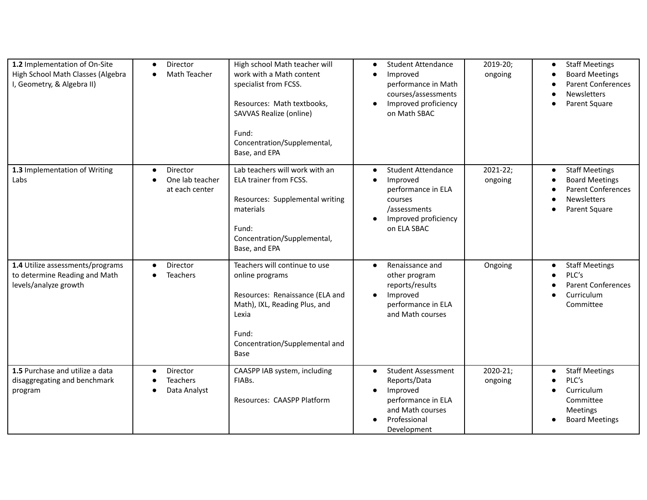| 1.2 Implementation of On-Site<br>High School Math Classes (Algebra<br>I, Geometry, & Algebra II) | Director<br>$\bullet$<br>Math Teacher<br>$\bullet$                      | High school Math teacher will<br>work with a Math content<br>specialist from FCSS.<br>Resources: Math textbooks,<br>SAVVAS Realize (online)<br>Fund:<br>Concentration/Supplemental,<br>Base, and EPA | <b>Student Attendance</b><br>$\bullet$<br>Improved<br>$\bullet$<br>performance in Math<br>courses/assessments<br>Improved proficiency<br>$\bullet$<br>on Math SBAC   | 2019-20;<br>ongoing | <b>Staff Meetings</b><br>$\bullet$<br><b>Board Meetings</b><br><b>Parent Conferences</b><br>$\bullet$<br><b>Newsletters</b><br>Parent Square |
|--------------------------------------------------------------------------------------------------|-------------------------------------------------------------------------|------------------------------------------------------------------------------------------------------------------------------------------------------------------------------------------------------|----------------------------------------------------------------------------------------------------------------------------------------------------------------------|---------------------|----------------------------------------------------------------------------------------------------------------------------------------------|
| 1.3 Implementation of Writing<br>Labs                                                            | Director<br>$\bullet$<br>One lab teacher<br>$\bullet$<br>at each center | Lab teachers will work with an<br>ELA trainer from FCSS.<br>Resources: Supplemental writing<br>materials<br>Fund:<br>Concentration/Supplemental,<br>Base, and EPA                                    | <b>Student Attendance</b><br>$\bullet$<br>Improved<br>$\bullet$<br>performance in ELA<br>courses<br>/assessments<br>Improved proficiency<br>$\bullet$<br>on ELA SBAC | 2021-22;<br>ongoing | <b>Staff Meetings</b><br>$\bullet$<br><b>Board Meetings</b><br><b>Parent Conferences</b><br><b>Newsletters</b><br>Parent Square              |
| 1.4 Utilize assessments/programs<br>to determine Reading and Math<br>levels/analyze growth       | Director<br>$\bullet$<br><b>Teachers</b><br>$\bullet$                   | Teachers will continue to use<br>online programs<br>Resources: Renaissance (ELA and<br>Math), IXL, Reading Plus, and<br>Lexia<br>Fund:<br>Concentration/Supplemental and<br>Base                     | Renaissance and<br>$\bullet$<br>other program<br>reports/results<br>Improved<br>$\bullet$<br>performance in ELA<br>and Math courses                                  | Ongoing             | <b>Staff Meetings</b><br>$\bullet$<br>PLC's<br><b>Parent Conferences</b><br>Curriculum<br>Committee                                          |
| 1.5 Purchase and utilize a data<br>disaggregating and benchmark<br>program                       | Director<br>$\bullet$<br><b>Teachers</b><br>Data Analyst                | CAASPP IAB system, including<br>FIABs.<br>Resources: CAASPP Platform                                                                                                                                 | <b>Student Assessment</b><br>$\bullet$<br>Reports/Data<br>Improved<br>$\bullet$<br>performance in ELA<br>and Math courses<br>Professional<br>Development             | 2020-21;<br>ongoing | <b>Staff Meetings</b><br>PLC's<br>Curriculum<br>Committee<br>Meetings<br><b>Board Meetings</b>                                               |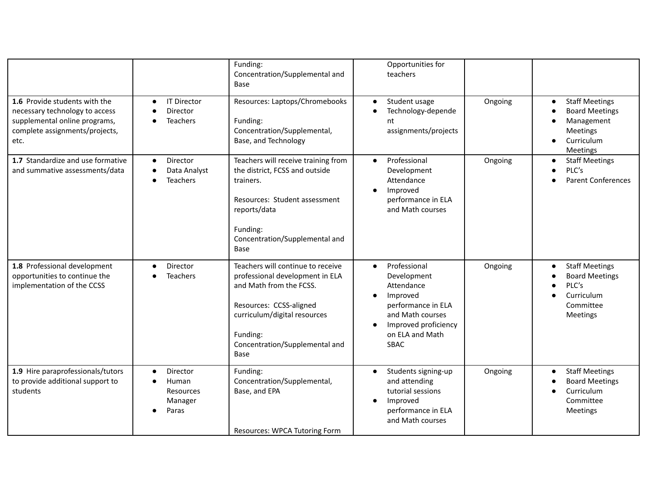|                                                                                                                                            |                                                                 | Funding:<br>Concentration/Supplemental and<br>Base                                                                                                                                                               | Opportunities for<br>teachers                                                                                                                                   |         |                                                                                                                                                               |
|--------------------------------------------------------------------------------------------------------------------------------------------|-----------------------------------------------------------------|------------------------------------------------------------------------------------------------------------------------------------------------------------------------------------------------------------------|-----------------------------------------------------------------------------------------------------------------------------------------------------------------|---------|---------------------------------------------------------------------------------------------------------------------------------------------------------------|
| 1.6 Provide students with the<br>necessary technology to access<br>supplemental online programs,<br>complete assignments/projects,<br>etc. | <b>IT Director</b><br>$\bullet$<br>Director<br><b>Teachers</b>  | Resources: Laptops/Chromebooks<br>Funding:<br>Concentration/Supplemental,<br>Base, and Technology                                                                                                                | Student usage<br>$\bullet$<br>Technology-depende<br>nt<br>assignments/projects                                                                                  | Ongoing | <b>Staff Meetings</b><br>$\bullet$<br><b>Board Meetings</b><br>$\bullet$<br>Management<br>$\bullet$<br>Meetings<br>Curriculum<br>$\bullet$<br><b>Meetings</b> |
| 1.7 Standardize and use formative<br>and summative assessments/data                                                                        | Director<br>$\bullet$<br>Data Analyst<br><b>Teachers</b>        | Teachers will receive training from<br>the district, FCSS and outside<br>trainers.<br>Resources: Student assessment<br>reports/data<br>Funding:<br>Concentration/Supplemental and<br>Base                        | Professional<br>$\bullet$<br>Development<br>Attendance<br>Improved<br>performance in ELA<br>and Math courses                                                    | Ongoing | <b>Staff Meetings</b><br>$\bullet$<br>PLC's<br>$\bullet$<br><b>Parent Conferences</b>                                                                         |
| 1.8 Professional development<br>opportunities to continue the<br>implementation of the CCSS                                                | Director<br><b>Teachers</b>                                     | Teachers will continue to receive<br>professional development in ELA<br>and Math from the FCSS.<br>Resources: CCSS-aligned<br>curriculum/digital resources<br>Funding:<br>Concentration/Supplemental and<br>Base | Professional<br>$\bullet$<br>Development<br>Attendance<br>Improved<br>performance in ELA<br>and Math courses<br>Improved proficiency<br>on ELA and Math<br>SBAC | Ongoing | <b>Staff Meetings</b><br>$\bullet$<br><b>Board Meetings</b><br>PLC's<br>Curriculum<br>Committee<br>Meetings                                                   |
| 1.9 Hire paraprofessionals/tutors<br>to provide additional support to<br>students                                                          | Director<br>$\bullet$<br>Human<br>Resources<br>Manager<br>Paras | Funding:<br>Concentration/Supplemental,<br>Base, and EPA<br>Resources: WPCA Tutoring Form                                                                                                                        | Students signing-up<br>$\bullet$<br>and attending<br>tutorial sessions<br>Improved<br>performance in ELA<br>and Math courses                                    | Ongoing | <b>Staff Meetings</b><br>$\bullet$<br><b>Board Meetings</b><br>Curriculum<br>$\bullet$<br>Committee<br>Meetings                                               |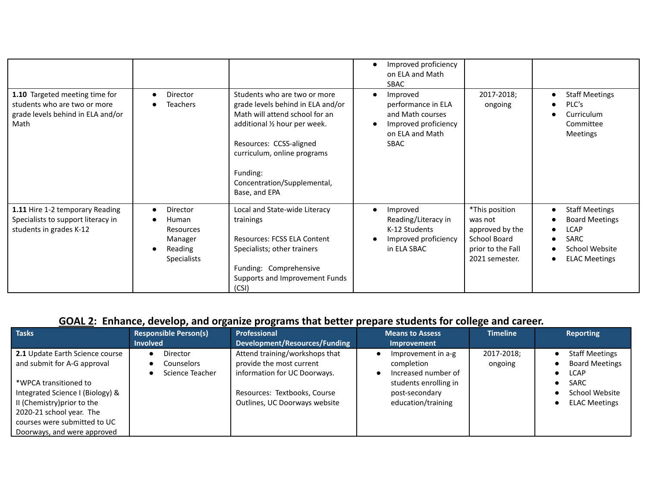|                                                                                                             |                                                                                                |                                                                                                                                                                                                                                                            | Improved proficiency<br>on ELA and Math<br><b>SBAC</b>                                                       |                                                                                                     |                                                                                                                              |
|-------------------------------------------------------------------------------------------------------------|------------------------------------------------------------------------------------------------|------------------------------------------------------------------------------------------------------------------------------------------------------------------------------------------------------------------------------------------------------------|--------------------------------------------------------------------------------------------------------------|-----------------------------------------------------------------------------------------------------|------------------------------------------------------------------------------------------------------------------------------|
| 1.10 Targeted meeting time for<br>students who are two or more<br>grade levels behind in ELA and/or<br>Math | Director<br>$\bullet$<br><b>Teachers</b>                                                       | Students who are two or more<br>grade levels behind in ELA and/or<br>Math will attend school for an<br>additional 1/2 hour per week.<br>Resources: CCSS-aligned<br>curriculum, online programs<br>Funding:<br>Concentration/Supplemental,<br>Base, and EPA | Improved<br>performance in ELA<br>and Math courses<br>Improved proficiency<br>on ELA and Math<br><b>SBAC</b> | 2017-2018;<br>ongoing                                                                               | <b>Staff Meetings</b><br>$\bullet$<br>PLC's<br>Curriculum<br>Committee<br>Meetings                                           |
| 1.11 Hire 1-2 temporary Reading<br>Specialists to support literacy in<br>students in grades K-12            | Director<br>$\bullet$<br>Human<br><b>Resources</b><br>Manager<br>Reading<br><b>Specialists</b> | Local and State-wide Literacy<br>trainings<br>Resources: FCSS ELA Content<br>Specialists; other trainers<br>Funding: Comprehensive<br>Supports and Improvement Funds<br>(CSI)                                                                              | Improved<br>$\bullet$<br>Reading/Literacy in<br>K-12 Students<br>Improved proficiency<br>in ELA SBAC         | *This position<br>was not<br>approved by the<br>School Board<br>prior to the Fall<br>2021 semester. | <b>Staff Meetings</b><br>$\bullet$<br><b>Board Meetings</b><br><b>LCAP</b><br>SARC<br>School Website<br><b>ELAC Meetings</b> |

### **GOAL 2: Enhance, develop, and organize programs that better prepare students for college and career.**

| <b>Tasks</b>                                                                                                                                                                                                                                          | <b>Responsible Person(s)</b><br><b>Involved</b> | Professional<br>Development/Resources/Funding                                                                                                               | <b>Means to Assess</b><br><b>Improvement</b>                                                                             | <b>Timeline</b>       | <b>Reporting</b>                                                                                                       |
|-------------------------------------------------------------------------------------------------------------------------------------------------------------------------------------------------------------------------------------------------------|-------------------------------------------------|-------------------------------------------------------------------------------------------------------------------------------------------------------------|--------------------------------------------------------------------------------------------------------------------------|-----------------------|------------------------------------------------------------------------------------------------------------------------|
| 2.1 Update Earth Science course<br>and submit for A-G approval<br>*WPCA transitioned to<br>Integrated Science I (Biology) &<br>II (Chemistry) prior to the<br>2020-21 school year. The<br>courses were submitted to UC<br>Doorways, and were approved | Director<br>Counselors<br>Science Teacher       | Attend training/workshops that<br>provide the most current<br>information for UC Doorways.<br>Resources: Textbooks, Course<br>Outlines, UC Doorways website | Improvement in a-g<br>completion<br>Increased number of<br>students enrolling in<br>post-secondary<br>education/training | 2017-2018;<br>ongoing | <b>Staff Meetings</b><br><b>Board Meetings</b><br><b>LCAP</b><br><b>SARC</b><br>School Website<br><b>ELAC Meetings</b> |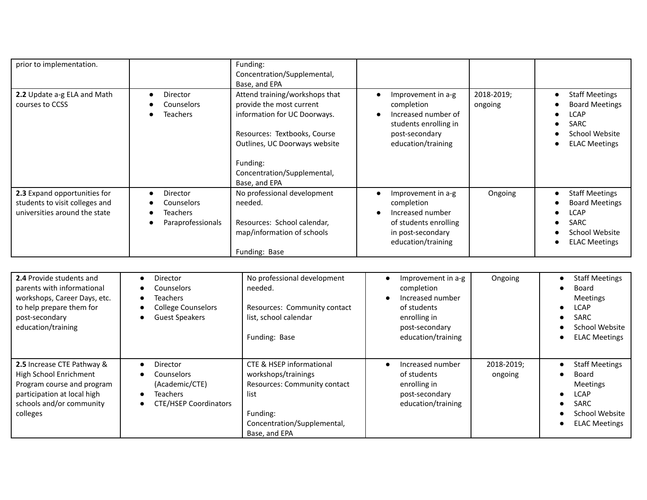| prior to implementation.                                                                        |                                                         | Funding:<br>Concentration/Supplemental,<br>Base, and EPA                                                                                                                                                                |                                                                                                                          |                       |                                                                                                                               |
|-------------------------------------------------------------------------------------------------|---------------------------------------------------------|-------------------------------------------------------------------------------------------------------------------------------------------------------------------------------------------------------------------------|--------------------------------------------------------------------------------------------------------------------------|-----------------------|-------------------------------------------------------------------------------------------------------------------------------|
| 2.2 Update a-g ELA and Math<br>courses to CCSS                                                  | Director<br>Counselors<br><b>Teachers</b>               | Attend training/workshops that<br>provide the most current<br>information for UC Doorways.<br>Resources: Textbooks, Course<br>Outlines, UC Doorways website<br>Funding:<br>Concentration/Supplemental,<br>Base, and EPA | Improvement in a-g<br>completion<br>Increased number of<br>students enrolling in<br>post-secondary<br>education/training | 2018-2019;<br>ongoing | <b>Staff Meetings</b><br><b>Board Meetings</b><br><b>LCAP</b><br>SARC<br>School Website<br><b>ELAC Meetings</b>               |
| 2.3 Expand opportunities for<br>students to visit colleges and<br>universities around the state | Director<br>Counselors<br>Teachers<br>Paraprofessionals | No professional development<br>needed.<br>Resources: School calendar,<br>map/information of schools<br>Funding: Base                                                                                                    | Improvement in a-g<br>completion<br>Increased number<br>of students enrolling<br>in post-secondary<br>education/training | Ongoing               | <b>Staff Meetings</b><br><b>Board Meetings</b><br><b>LCAP</b><br><b>SARC</b><br><b>School Website</b><br><b>ELAC Meetings</b> |

| 2.4 Provide students and<br>parents with informational<br>workshops, Career Days, etc.<br>to help prepare them for<br>post-secondary<br>education/training | Director<br><b>Counselors</b><br>Teachers<br><b>College Counselors</b><br><b>Guest Speakers</b> | No professional development<br>needed.<br>Resources: Community contact<br>list, school calendar<br>Funding: Base                                               | Improvement in a-g<br>completion<br>Increased number<br>of students<br>enrolling in<br>post-secondary<br>education/training | Ongoing               | <b>Staff Meetings</b><br>$\bullet$<br>Board<br>$\bullet$<br><b>Meetings</b><br><b>LCAP</b><br>$\bullet$<br><b>SARC</b><br>$\bullet$<br>School Website<br><b>ELAC Meetings</b><br>$\bullet$ |
|------------------------------------------------------------------------------------------------------------------------------------------------------------|-------------------------------------------------------------------------------------------------|----------------------------------------------------------------------------------------------------------------------------------------------------------------|-----------------------------------------------------------------------------------------------------------------------------|-----------------------|--------------------------------------------------------------------------------------------------------------------------------------------------------------------------------------------|
| 2.5 Increase CTE Pathway &<br>High School Enrichment<br>Program course and program<br>participation at local high<br>schools and/or community<br>colleges  | Director<br>Counselors<br>(Academic/CTE)<br>Teachers<br><b>CTE/HSEP Coordinators</b>            | <b>CTE &amp; HSEP informational</b><br>workshops/trainings<br>Resources: Community contact<br>list<br>Funding:<br>Concentration/Supplemental,<br>Base, and EPA | Increased number<br>$\bullet$<br>of students<br>enrolling in<br>post-secondary<br>education/training                        | 2018-2019;<br>ongoing | <b>Staff Meetings</b><br>$\bullet$<br>Board<br><b>Meetings</b><br><b>LCAP</b><br>$\bullet$<br><b>SARC</b><br>$\bullet$<br>School Website<br><b>ELAC Meetings</b><br>$\bullet$              |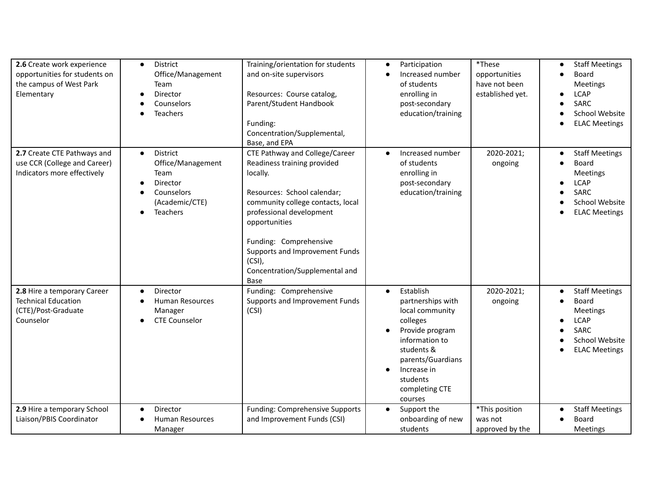| 2.6 Create work experience<br>opportunities for students on<br>the campus of West Park<br>Elementary | District<br>$\bullet$<br>Office/Management<br>Team<br>Director<br>Counselors<br><b>Teachers</b>            | Training/orientation for students<br>and on-site supervisors<br>Resources: Course catalog,<br>Parent/Student Handbook<br>Funding:<br>Concentration/Supplemental,<br>Base, and EPA                                                                                                                             | Participation<br>$\bullet$<br>Increased number<br>$\bullet$<br>of students<br>enrolling in<br>post-secondary<br>education/training                                                                         | *These<br>opportunities<br>have not been<br>established yet. | <b>Staff Meetings</b><br>$\bullet$<br><b>Board</b><br><b>Meetings</b><br><b>LCAP</b><br><b>SARC</b><br>School Website<br><b>ELAC Meetings</b> |
|------------------------------------------------------------------------------------------------------|------------------------------------------------------------------------------------------------------------|---------------------------------------------------------------------------------------------------------------------------------------------------------------------------------------------------------------------------------------------------------------------------------------------------------------|------------------------------------------------------------------------------------------------------------------------------------------------------------------------------------------------------------|--------------------------------------------------------------|-----------------------------------------------------------------------------------------------------------------------------------------------|
| 2.7 Create CTE Pathways and<br>use CCR (College and Career)<br>Indicators more effectively           | District<br>$\bullet$<br>Office/Management<br>Team<br>Director<br>Counselors<br>(Academic/CTE)<br>Teachers | CTE Pathway and College/Career<br>Readiness training provided<br>locally.<br>Resources: School calendar;<br>community college contacts, local<br>professional development<br>opportunities<br>Funding: Comprehensive<br>Supports and Improvement Funds<br>$(CSI)$ ,<br>Concentration/Supplemental and<br>Base | Increased number<br>of students<br>enrolling in<br>post-secondary<br>education/training                                                                                                                    | 2020-2021;<br>ongoing                                        | <b>Staff Meetings</b><br>$\bullet$<br><b>Board</b><br>Meetings<br><b>LCAP</b><br><b>SARC</b><br>School Website<br><b>ELAC Meetings</b>        |
| 2.8 Hire a temporary Career<br><b>Technical Education</b><br>(CTE)/Post-Graduate<br>Counselor        | Director<br><b>Human Resources</b><br>Manager<br><b>CTE Counselor</b>                                      | Funding: Comprehensive<br>Supports and Improvement Funds<br>(CSI)                                                                                                                                                                                                                                             | Establish<br>$\bullet$<br>partnerships with<br>local community<br>colleges<br>Provide program<br>information to<br>students &<br>parents/Guardians<br>Increase in<br>students<br>completing CTE<br>courses | 2020-2021;<br>ongoing                                        | <b>Staff Meetings</b><br>$\bullet$<br>Board<br>$\bullet$<br><b>Meetings</b><br><b>LCAP</b><br>SARC<br>School Website<br><b>ELAC Meetings</b>  |
| 2.9 Hire a temporary School<br>Liaison/PBIS Coordinator                                              | Director<br><b>Human Resources</b><br>Manager                                                              | <b>Funding: Comprehensive Supports</b><br>and Improvement Funds (CSI)                                                                                                                                                                                                                                         | Support the<br>$\bullet$<br>onboarding of new<br>students                                                                                                                                                  | *This position<br>was not<br>approved by the                 | <b>Staff Meetings</b><br>$\bullet$<br><b>Board</b><br>Meetings                                                                                |